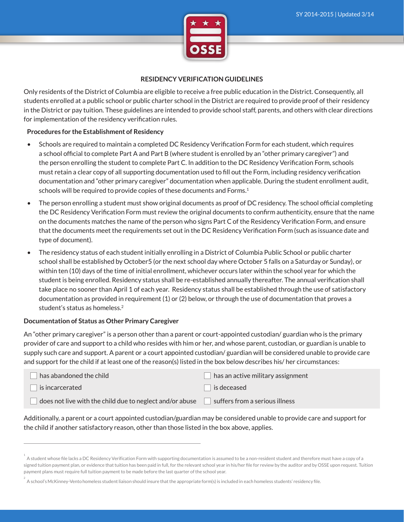

### **RESIDENCY VERIFICATION GUIDELINES**

Only residents of the District of Columbia are eligible to receive a free public education in the District. Consequently, all students enrolled at a public school or public charter school in the District are required to provide proof of their residency in the District or pay tuition. These guidelines are intended to provide school staff, parents, and others with clear directions for implementation of the residency verification rules.

### **Procedures for the Establishment of Residency**

- Schools are required to maintain a completed DC Residency Verification Form for each student, which requires a school official to complete Part A and Part B (where student is enrolled by an "other primary caregiver") and the person enrolling the student to complete Part C. In addition to the DC Residency Verification Form, schools must retain a clear copy of all supporting documentation used to fill out the Form, including residency verification documentation and "other primary caregiver" documentation when applicable. During the student enrollment audit, schools will be required to provide copies of these documents and Forms.<sup>1</sup>
- The person enrolling a student must show original documents as proof of DC residency. The school official completing the DC Residency Verification Form must review the original documents to confirm authenticity, ensure that the name on the documents matches the name of the person who signs Part C of the Residency Verification Form, and ensure that the documents meet the requirements set out in the DC Residency Verification Form (such as issuance date and type of document).
- The residency status of each student initially enrolling in a District of Columbia Public School or public charter school shall be established by October5 (or the next school day where October 5 falls on a Saturday or Sunday), or within ten (10) days of the time of initial enrollment, whichever occurs later within the school year for which the student is being enrolled. Residency status shall be re-established annually thereafter. The annual verification shall take place no sooner than April 1 of each year. Residency status shall be established through the use of satisfactory documentation as provided in requirement (1) or (2) below, or through the use of documentation that proves a student's status as homeless.<sup>2</sup>

# **Documentation of Status as Other Primary Caregiver**

An "other primary caregiver" is a person other than a parent or court-appointed custodian/ guardian who is the primary provider of care and support to a child who resides with him or her, and whose parent, custodian, or guardian is unable to supply such care and support. A parent or a court appointed custodian/ guardian will be considered unable to provide care and support for the child if at least one of the reason(s) listed in the box below describes his/ her circumstances:

| $\Box$ has abandoned the child                                  | $\Box$ has an active military assignment |
|-----------------------------------------------------------------|------------------------------------------|
| $\Box$ is incarcerated                                          | $\Box$ is deceased                       |
| $\Box$ does not live with the child due to neglect and/or abuse | suffers from a serious illness           |

Additionally, a parent or a court appointed custodian/guardian may be considered unable to provide care and support for the child if another satisfactory reason, other than those listed in the box above, applies.

A student whose file lacks a DC Residency Verification Form with supporting documentation is assumed to be a non-resident student and therefore must have a copy of a signed tuition payment plan, or evidence that tuition has been paid in full, for the relevant school year in his/her file for review by the auditor and by OSSE upon request. Tuition payment plans must require full tuition payment to be made before the last quarter of the school year.

A school's McKinney-Vento homeless student liaison should insure that the appropriate form(s) is included in each homeless students' residency file.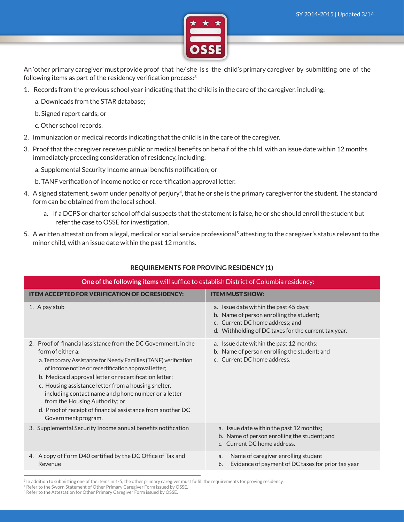

An 'other primary caregiver' must provide proof that he/ she is s the child's primary caregiver by submitting one of the following items as part of the residency verification process:<sup>3</sup>

- 1. Records from the previous school year indicating that the child is in the care of the caregiver, including:
	- a. Downloads from the STAR database;
	- b. Signed report cards; or
	- c. Other school records.
- 2. Immunization or medical records indicating that the child is in the care of the caregiver.
- 3. Proof that the caregiver receives public or medical benefits on behalf of the child, with an issue date within 12 months immediately preceding consideration of residency, including:
	- a. Supplemental Security Income annual benefits notification; or
	- b. TANF verification of income notice or recertification approval letter.
- 4. A signed statement, sworn under penalty of perjury<sup>4</sup>, that he or she is the primary caregiver for the student. The standard form can be obtained from the local school.
	- a. If a DCPS or charter school official suspects that the statement is false, he or she should enroll the student but refer the case to OSSE for investigation.
- 5. A written attestation from a legal, medical or social service professional<sup>5</sup> attesting to the caregiver's status relevant to the minor child, with an issue date within the past 12 months.

| One of the following items will suffice to establish District of Columbia residency:                                                                                                                                                                                                                                                                                                                                                                                                                            |                                                                                                                                                                               |  |
|-----------------------------------------------------------------------------------------------------------------------------------------------------------------------------------------------------------------------------------------------------------------------------------------------------------------------------------------------------------------------------------------------------------------------------------------------------------------------------------------------------------------|-------------------------------------------------------------------------------------------------------------------------------------------------------------------------------|--|
| <b>ITEM ACCEPTED FOR VERIFICATION OF DC RESIDENCY:</b>                                                                                                                                                                                                                                                                                                                                                                                                                                                          | <b>ITEM MUST SHOW:</b>                                                                                                                                                        |  |
| 1. A pay stub                                                                                                                                                                                                                                                                                                                                                                                                                                                                                                   | a. Issue date within the past 45 days;<br>b. Name of person enrolling the student;<br>c. Current DC home address; and<br>d. Withholding of DC taxes for the current tax year. |  |
| 2. Proof of financial assistance from the DC Government, in the<br>form of either a:<br>a. Temporary Assistance for Needy Families (TANF) verification<br>of income notice or recertification approval letter;<br>b. Medicaid approval letter or recertification letter;<br>c. Housing assistance letter from a housing shelter,<br>including contact name and phone number or a letter<br>from the Housing Authority; or<br>d. Proof of receipt of financial assistance from another DC<br>Government program. | a. Issue date within the past 12 months;<br>b. Name of person enrolling the student; and<br>c. Current DC home address.                                                       |  |
| 3. Supplemental Security Income annual benefits notification                                                                                                                                                                                                                                                                                                                                                                                                                                                    | a. Issue date within the past 12 months;<br>b. Name of person enrolling the student; and<br>c. Current DC home address.                                                       |  |
| 4. A copy of Form D40 certified by the DC Office of Tax and<br>Revenue                                                                                                                                                                                                                                                                                                                                                                                                                                          | Name of caregiver enrolling student<br>a.<br>Evidence of payment of DC taxes for prior tax year<br>b.                                                                         |  |
|                                                                                                                                                                                                                                                                                                                                                                                                                                                                                                                 |                                                                                                                                                                               |  |

# **REQUIREMENTS FOR PROVING RESIDENCY (1)**

<sup>3</sup> In addition to submitting one of the items in 1-5, the other primary caregiver must fulfill the requirements for proving residency.

<sup>4</sup> Refer to the Sworn Statement of Other Primary Caregiver Form issued by OSSE.

<sup>&</sup>lt;sup>5</sup> Refer to the Attestation for Other Primary Caregiver Form issued by OSSE.